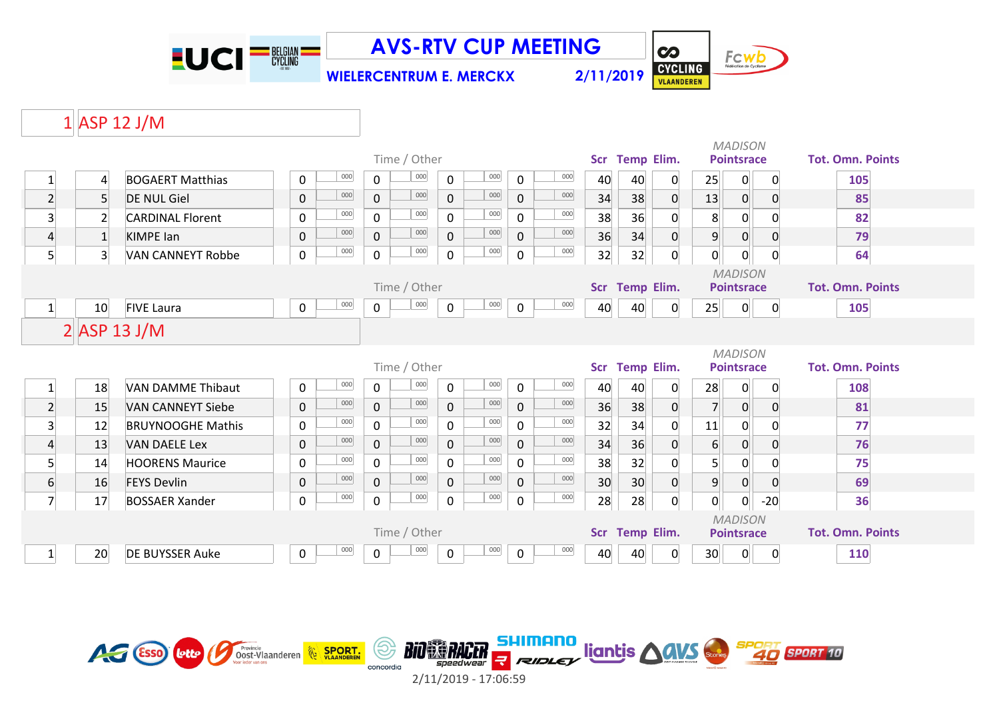

**WIELERCENTRUM E. MERCKX 2/11/2019**

Fcwb CYCLING

**CO** 

## $1$  ASP 12 J/M

|                  |                |                          |             |              |                | Time / Other |              |         |                     |                | Scr        | <b>Temp Elim.</b>                   |                |                  | <b>MADISON</b><br><b>Pointsrace</b> |                | <b>Tot. Omn. Points</b> |
|------------------|----------------|--------------------------|-------------|--------------|----------------|--------------|--------------|---------|---------------------|----------------|------------|-------------------------------------|----------------|------------------|-------------------------------------|----------------|-------------------------|
| $\mathbf{1}$     | $\overline{4}$ | <b>BOGAERT Matthias</b>  | 0           | 000          | $\mathbf 0$    | $000\,$      | $\mathsf{O}$ | 000     | $\mathbf 0$         | 000            | 40         | 40                                  | 0              | 25               | 0                                   | $\overline{0}$ | 105                     |
| $2\vert$         | 5 <sup>1</sup> | <b>DE NUL Giel</b>       | $\pmb{0}$   | 000          | $\overline{0}$ | 000          | $\mathbf{0}$ | 000     | $\mathbf 0$         | 000            | 34         | 38                                  | $\mathbf 0$    | 13               | 0                                   | $\overline{0}$ | 85                      |
| $\overline{3}$   | $\overline{2}$ | <b>CARDINAL Florent</b>  | $\pmb{0}$   | 000          | $\mathsf{O}$   | 000          | $\mathbf 0$  | 000     | $\mathbf 0$         | 000            | 38         | 36                                  | 0              | 8                | $\overline{0}$                      |                | 82                      |
| $\overline{4}$   | $\mathbf{1}$   | <b>KIMPE lan</b>         | $\pmb{0}$   | 000          | $\mathbf 0$    | 000          | $\mathbf 0$  | 000     | $\mathbf 0$         | 000            | 36         | 34                                  | $\overline{0}$ | $9\,$            | 0                                   | $\mathbf{0}$   | 79                      |
| 5 <sup>1</sup>   | 3 <sup>1</sup> | <b>VAN CANNEYT Robbe</b> | $\mathbf 0$ | 000          | $\mathsf{O}$   | $000\,$      | $\mathsf{O}$ | 000     | $\mathbf 0$         | 000            | 32         | 32                                  | $\overline{0}$ | $\overline{0}$   | 0                                   | $\overline{0}$ | 64                      |
|                  |                |                          |             | Time / Other |                |              |              |         |                     | Scr Temp Elim. |            | <b>MADISON</b><br><b>Pointsrace</b> |                |                  | <b>Tot. Omn. Points</b>             |                |                         |
| $1\overline{ }$  | 10             | <b>FIVE Laura</b>        | 0           | 000          | $\overline{0}$ | $_{000}$     | $\mathsf{O}$ | 000     | $\mathbf 0$         | 000            | 40         | 40                                  | $\mathbf 0$    | 25               | 0                                   | $\overline{0}$ | 105                     |
|                  |                | $2$ ASP 13 J/M           |             |              |                |              |              |         |                     |                |            |                                     |                |                  |                                     |                |                         |
|                  |                |                          |             |              |                |              |              |         |                     |                |            | <b>MADISON</b>                      |                |                  |                                     |                |                         |
|                  |                |                          |             |              |                | Time / Other |              |         |                     |                |            | Scr Temp Elim.                      |                |                  | <b>Pointsrace</b>                   |                | <b>Tot. Omn. Points</b> |
| $\mathbf{1}$     | 18             | <b>VAN DAMME Thibaut</b> | $\pmb{0}$   | 000          | $\mathbf 0$    | $000\,$      | $\mathbf 0$  | $000\,$ | $\mathbf 0$         | 000            | 40         | 40                                  | 0              | 28               | 0                                   | 0              | 108                     |
| $\overline{2}$   | 15             | <b>VAN CANNEYT Siebe</b> | $\mathsf 0$ | 000          | $\mathbf{0}$   | 000          | $\mathbf{0}$ | 000     | $\mathbf 0$         | 000            | 36         | 38                                  | $\overline{0}$ | 7                | 0                                   | $\overline{0}$ | 81                      |
| $\overline{3}$   | 12             | <b>BRUYNOOGHE Mathis</b> | 0           | 000          | $\mathsf{O}$   | 000          | $\Omega$     | 000     | $\mathbf 0$         | 000            | 32         | 34                                  | $\mathbf{0}$   | 11               | 0                                   |                | 77                      |
| $\overline{4}$   | 13             | <b>VAN DAELE Lex</b>     | $\mathsf 0$ | 000          | $\overline{0}$ | 000          | $\mathbf{0}$ | 000     | $\mathbf 0$         | 000            | 34         | 36                                  | $\mathbf 0$    | $6 \overline{6}$ | $\overline{0}$                      | $\mathbf{0}$   | 76                      |
| 5 <sup>1</sup>   | 14             | <b>HOORENS Maurice</b>   | $\mathbf 0$ | 000          | $\mathsf{O}$   | 000          | $\mathbf 0$  | 000     | $\mathbf 0$         | 000            | 38         | 32                                  | 0              | 5 <sup>1</sup>   | 0                                   |                | 75                      |
| $6 \overline{6}$ | 16             | <b>FEYS Devlin</b>       | $\pmb{0}$   | 000          | $\mathbf{0}$   | 000          | $\mathbf 0$  | 000     | $\mathsf{O}\xspace$ | 000            | 30         | 30                                  | $\pmb{0}$      | $9\,$            | $\mathsf{O}$                        | $\overline{0}$ | 69                      |
| $\overline{7}$   | 17             | <b>BOSSAER Xander</b>    | $\mathbf 0$ | 000          | $\mathsf{O}$   | 000          | $\mathsf{O}$ | 000     | $\mathbf 0$         | 000            | 28         | 28                                  | $\overline{0}$ | $\overline{0}$   | 0                                   | $-20$          | 36                      |
| Time / Other     |                |                          |             |              |                |              |              |         |                     |                | <b>Scr</b> | <b>Temp Elim.</b>                   |                |                  | <b>MADISON</b><br><b>Pointsrace</b> |                | <b>Tot. Omn. Points</b> |
|                  | 20             | DE BUYSSER Auke          | 0           | 000          | 0              | 000          | $\mathbf 0$  | 000     | $\mathbf 0$         | 000            | 40         | 40                                  | 0              | 30 <sup>°</sup>  | $\mathbf{0}$                        | $\Omega$       | 110                     |

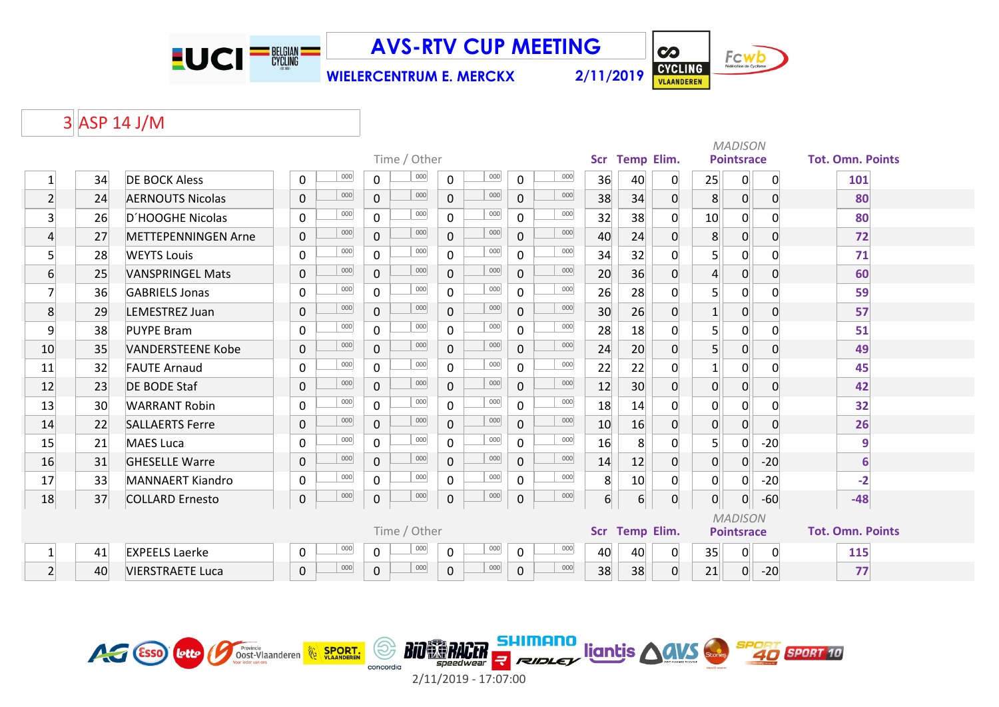

**WIELERCENTRUM E. MERCKX 2/11/2019**

Fcwb CYCLING

**CO** 

## ASP 14 J/M

|                 |    |                            |                     |                |              |                     | <b>MADISON</b> |     |                  |                   |                |                |                   |                |                         |
|-----------------|----|----------------------------|---------------------|----------------|--------------|---------------------|----------------|-----|------------------|-------------------|----------------|----------------|-------------------|----------------|-------------------------|
|                 |    |                            |                     |                | Time / Other |                     |                |     | Scr              | <b>Temp Elim.</b> |                |                | <b>Pointsrace</b> |                | <b>Tot. Omn. Points</b> |
| $\mathbf{1}$    | 34 | <b>DE BOCK Aless</b>       | 000<br>0            | $\mathbf 0$    | 000          | 000<br>$\mathbf 0$  | $\mathsf{O}$   | 000 | 36               | 40                | 0              | 25             | $\overline{0}$    | $\overline{0}$ | 101                     |
| $\overline{2}$  | 24 | <b>AERNOUTS Nicolas</b>    | 000<br>$\mathbf 0$  | $\overline{0}$ | 000          | 000<br>$\Omega$     | $\mathbf 0$    | 000 | 38               | 34                | 0              | 8 <sup>°</sup> | $\overline{0}$    | $\overline{0}$ | 80                      |
| $\overline{3}$  | 26 | D'HOOGHE Nicolas           | 000<br>0            | 0              | 000          | 000<br>$\mathbf{0}$ | $\mathbf 0$    | 000 | 32               | 38                | $\Omega$       | 10             | 0                 | $\mathbf{0}$   | 80                      |
| $\overline{4}$  | 27 | <b>METTEPENNINGEN Arne</b> | 000<br>$\mathbf{0}$ | $\overline{0}$ | 000          | 000<br>$\mathbf 0$  | $\mathbf 0$    | 000 | 40               | 24                | $\Omega$       | 8              | 0                 | $\Omega$       | 72                      |
| $\overline{5}$  | 28 | <b>WEYTS Louis</b>         | 000<br>0            | $\mathbf 0$    | 000          | 000<br>0            | $\mathbf 0$    | 000 | 34               | 32                | $\Omega$       | 5 <sup>1</sup> | $\mathsf{O}$      | $\mathbf{0}$   | 71                      |
| $6 \overline{}$ | 25 | <b>VANSPRINGEL Mats</b>    | 000<br>$\mathbf 0$  | $\mathbf 0$    | 000          | 000<br>$\mathbf 0$  | $\mathbf 0$    | 000 | 20               | 36                | 0              | $\overline{4}$ | $\overline{0}$    | $\mathbf 0$    | 60                      |
| $\overline{7}$  | 36 | <b>GABRIELS Jonas</b>      | 000<br>0            | $\Omega$       | 000          | 000<br>$\Omega$     | $\mathbf 0$    | 000 | 26               | 28                | $\Omega$       | $\mathsf{5}$   | 0                 | $\Omega$       | 59                      |
| 8               | 29 | LEMESTREZ Juan             | 000<br>0            | $\mathbf{0}$   | 000          | 000<br>$\mathbf 0$  | $\mathbf 0$    | 000 | 30               | 26                | 0              | $\mathbf 1$    | 0                 | $\overline{0}$ | 57                      |
| 9               | 38 | <b>PUYPE Bram</b>          | 000<br>0            | 0              | 000          | 000<br>$\Omega$     | $\mathbf 0$    | 000 | 28               | 18                | $\Omega$       | 5 <sup>1</sup> | 0                 | $\Omega$       | 51                      |
| 10              | 35 | <b>VANDERSTEENE Kobe</b>   | 000<br>$\mathbf 0$  | $\mathbf{0}$   | 000          | 000<br>$\Omega$     | $\mathbf 0$    | 000 | 24               | 20                | 0              | 5 <sup>1</sup> | $\overline{0}$    | $\overline{0}$ | 49                      |
| 11              | 32 | <b>FAUTE Arnaud</b>        | 000<br>0            | 0              | 000          | 000<br>$\Omega$     | $\mathbf 0$    | 000 | 22               | 22                | 0              | $\mathbf{1}$   | 0                 | $\Omega$       | 45                      |
| 12              | 23 | <b>DE BODE Staf</b>        | 000<br>$\mathbf 0$  | $\Omega$       | 000          | 000<br>$\Omega$     | $\mathbf 0$    | 000 | 12               | 30                | $\Omega$       | $\overline{0}$ | $\overline{0}$    | $\overline{0}$ | 42                      |
| 13              | 30 | <b>WARRANT Robin</b>       | 000<br>0            | 0              | 000          | 000<br>0            | $\mathbf 0$    | 000 | 18               | 14                | $\Omega$       | $\mathbf 0$    | 0                 | $\Omega$       | 32                      |
| 14              | 22 | <b>SALLAERTS Ferre</b>     | 000<br>$\mathbf 0$  | $\overline{0}$ | 000          | 000<br>$\Omega$     | $\mathbf 0$    | 000 | 10               | 16                | 0              | $\overline{0}$ | $\overline{0}$    | $\mathbf{0}$   | 26                      |
| 15              | 21 | <b>MAES Luca</b>           | 000<br>$\mathsf{O}$ | $\mathbf 0$    | 000          | 000<br>$\Omega$     | $\mathbf 0$    | 000 | 16               | 8                 | 0              | 5 <sup>1</sup> | $\mathbf 0$       | $-20$          | $\overline{9}$          |
| 16              | 31 | <b>GHESELLE Warre</b>      | 000<br>$\mathbf 0$  | 0              | 000          | 000<br>$\mathbf 0$  | $\mathbf 0$    | 000 | 14               | 12                | 0              | $\overline{0}$ | 0                 | $-20$          | $6\phantom{1}$          |
| 17              | 33 | <b>MANNAERT Kiandro</b>    | 000<br>0            | $\Omega$       | 000          | 000<br>$\Omega$     | $\mathbf 0$    | 000 | 8                | 10                | 0              | $\overline{0}$ | 0                 | $-20$          | $-2$                    |
| 18              | 37 | <b>COLLARD Ernesto</b>     | 000<br>0            | 0              | 000          | 000<br>$\pmb{0}$    | $\pmb{0}$      | 000 | $6 \overline{6}$ | $6 \overline{6}$  | 0              | $\overline{0}$ | $\overline{0}$    | $-60$          | $-48$                   |
|                 |    |                            |                     |                |              |                     |                |     | <b>MADISON</b>   |                   |                |                |                   |                |                         |
|                 |    |                            |                     |                | Time / Other |                     |                |     |                  |                   | Scr Temp Elim. |                | <b>Pointsrace</b> |                | <b>Tot. Omn. Points</b> |
| $\mathbf{1}$    | 41 | <b>EXPEELS Laerke</b>      | 000<br>0            | $\mathbf 0$    | 000          | 000<br>$\mathbf 0$  | $\mathbf 0$    | 000 | 40               | 40                | 0              | 35             | $\mathsf{O}$      | 0              | 115                     |
| $\overline{2}$  | 40 | <b>VIERSTRAETE Luca</b>    | 000<br>0            | $\mathbf{0}$   | 000          | 000<br>$\Omega$     | 0              | 000 | 38               | 38                | 0              | 21             | 0                 | $-20$          | 77                      |

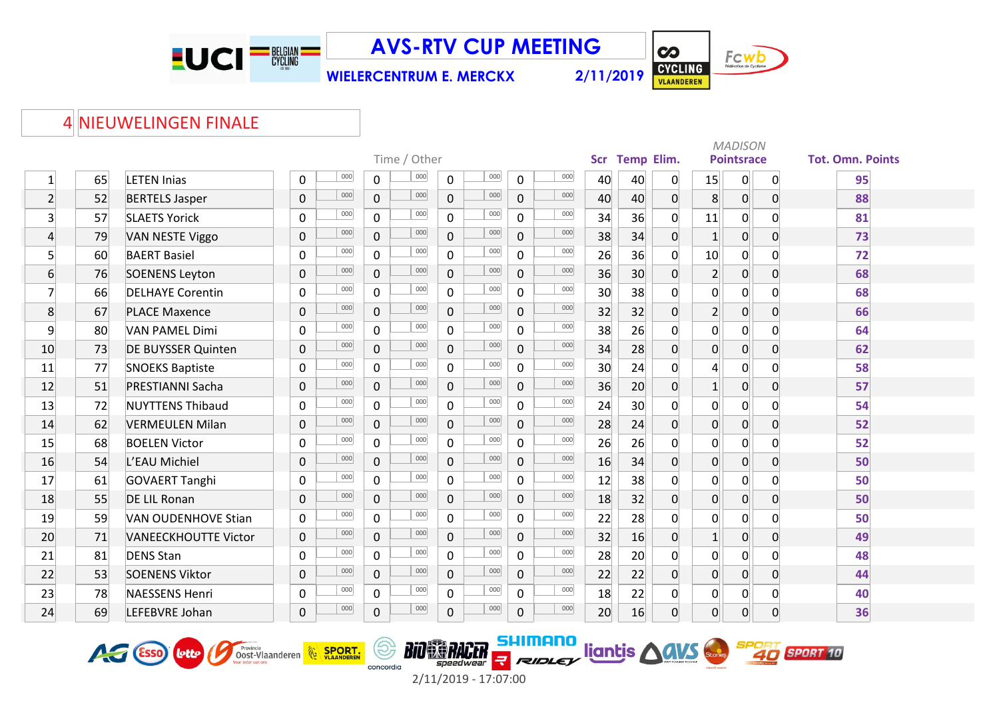

**WIELERCENTRUM E. MERCKX 2/11/2019**



## NIEUWELINGEN FINALE

|                 |    |                             |             |     |                |              |                |     |                     |     |            |                   |                | <b>MADISON</b>  |                   |                |                         |  |  |  |
|-----------------|----|-----------------------------|-------------|-----|----------------|--------------|----------------|-----|---------------------|-----|------------|-------------------|----------------|-----------------|-------------------|----------------|-------------------------|--|--|--|
|                 |    |                             |             |     |                | Time / Other |                |     |                     |     | <b>Scr</b> | <b>Temp Elim.</b> |                |                 | <b>Pointsrace</b> |                | <b>Tot. Omn. Points</b> |  |  |  |
| $\mathbf{1}$    | 65 | <b>LETEN Inias</b>          | 0           | 000 | $\mathsf{O}$   | 000          | $\mathbf 0$    | 000 | $\Omega$            | 000 | 40         | 40                | 0              | 15              | 0                 | $\overline{0}$ | 95                      |  |  |  |
| $\overline{2}$  | 52 | <b>BERTELS Jasper</b>       | $\pmb{0}$   | 000 | $\overline{0}$ | 000          | $\overline{0}$ | 000 | $\mathbf 0$         | 000 | 40         | 40                | $\overline{0}$ | 8               | 0                 | $\overline{0}$ | 88                      |  |  |  |
| $\overline{3}$  | 57 | <b>SLAETS Yorick</b>        | 0           | 000 | $\mathsf{O}$   | 000          | $\mathbf{0}$   | 000 | $\mathbf 0$         | 000 | 34         | 36                | $\overline{0}$ | 11              | $\overline{0}$    | 0              | 81                      |  |  |  |
| $\overline{4}$  | 79 | <b>VAN NESTE Viggo</b>      | $\pmb{0}$   | 000 | $\mathbf 0$    | 000          | $\mathsf{O}$   | 000 | $\mathsf{O}\xspace$ | 000 | 38         | 34                | $\overline{0}$ | $1\overline{ }$ | 0                 | $\overline{0}$ | 73                      |  |  |  |
| $5\overline{)}$ | 60 | <b>BAERT Basiel</b>         | $\mathbf 0$ | 000 | $\mathbf 0$    | 000          | $\mathbf 0$    | 000 | $\mathbf 0$         | 000 | 26         | 36                | $\overline{0}$ | 10              | 0                 | 0              | 72                      |  |  |  |
| $6 \overline{}$ | 76 | <b>SOENENS Leyton</b>       | $\mathbf 0$ | 000 | $\overline{0}$ | 000          | $\mathbf 0$    | 000 | 0                   | 000 | 36         | 30 <sup>°</sup>   | $\overline{0}$ | $\overline{2}$  | 0                 | 0              | 68                      |  |  |  |
| $\overline{7}$  | 66 | <b>DELHAYE Corentin</b>     | 0           | 000 | $\mathbf 0$    | 000          | $\mathbf 0$    | 000 | $\mathbf 0$         | 000 | 30         | 38                | 0              | 0               | $\overline{0}$    | 0              | 68                      |  |  |  |
| 8               | 67 | <b>PLACE Maxence</b>        | $\pmb{0}$   | 000 | $\mathsf{O}$   | 000          | $\overline{0}$ | 000 | $\mathbf 0$         | 000 | 32         | 32                | $\overline{0}$ | $\overline{2}$  | 0                 | 0              | 66                      |  |  |  |
| 9               | 80 | <b>VAN PAMEL Dimi</b>       | 0           | 000 | $\mathsf{O}$   | 000          | $\mathbf 0$    | 000 | $\mathbf 0$         | 000 | 38         | 26                | $\Omega$       | 0               | 0                 | $\Omega$       | 64                      |  |  |  |
| 10              | 73 | <b>DE BUYSSER Quinten</b>   | $\mathbf 0$ | 000 | $\overline{0}$ | 000          | $\overline{0}$ | 000 | 0                   | 000 | 34         | 28                | $\Omega$       | $\overline{0}$  | 0                 | $\overline{0}$ | 62                      |  |  |  |
| 11              | 77 | <b>SNOEKS Baptiste</b>      | 0           | 000 | $\mathsf{O}$   | 000          | $\mathbf 0$    | 000 | $\mathbf 0$         | 000 | 30         | 24                | $\Omega$       | $\overline{4}$  | $\mathbf 0$       | $\Omega$       | 58                      |  |  |  |
| 12              | 51 | PRESTIANNI Sacha            | $\pmb{0}$   | 000 | $\overline{0}$ | 000          | $\overline{0}$ | 000 | $\mathbf 0$         | 000 | 36         | 20                | $\overline{0}$ | 1               | $\overline{0}$    | $\overline{0}$ | 57                      |  |  |  |
| 13              | 72 | <b>NUYTTENS Thibaud</b>     | 0           | 000 | $\mathsf{O}$   | 000          | $\mathsf{O}$   | 000 | $\mathsf{O}\xspace$ | 000 | 24         | 30 <sup>°</sup>   | $\overline{0}$ | $\overline{0}$  | $\overline{0}$    | 0              | 54                      |  |  |  |
| 14              | 62 | <b>VERMEULEN Milan</b>      | $\mathbf 0$ | 000 | $\overline{0}$ | 000          | $\mathbf 0$    | 000 | 0                   | 000 | 28         | 24                | $\overline{0}$ | $\overline{0}$  | $\boldsymbol{0}$  | $\overline{0}$ | 52                      |  |  |  |
| 15              | 68 | <b>BOELEN Victor</b>        | $\mathbf 0$ | 000 | $\overline{0}$ | 000          | $\mathbf 0$    | 000 | $\mathbf 0$         | 000 | 26         | 26                | 0              | $\overline{0}$  | 0                 | $\Omega$       | 52                      |  |  |  |
| 16              | 54 | L'EAU Michiel               | $\pmb{0}$   | 000 | $\overline{0}$ | 000          | $\mathbf 0$    | 000 | $\mathbf 0$         | 000 | 16         | 34                | $\overline{0}$ | $\overline{0}$  | $\overline{0}$    | $\mathbf{O}$   | 50                      |  |  |  |
| 17              | 61 | <b>GOVAERT Tanghi</b>       | 0           | 000 | $\mathbf 0$    | 000          | $\mathbf 0$    | 000 | $\mathbf 0$         | 000 | 12         | 38                | $\overline{0}$ | 0               | 0                 | 0              | 50                      |  |  |  |
| 18              | 55 | <b>DE LIL Ronan</b>         | $\pmb{0}$   | 000 | $\mathsf{O}$   | 000          | $\mathbf 0$    | 000 | 0                   | 000 | 18         | 32                | $\overline{0}$ | 0               | $\boldsymbol{0}$  | 0              | 50                      |  |  |  |
| 19              | 59 | <b>VAN OUDENHOVE Stian</b>  | 0           | 000 | $\overline{0}$ | 000          | $\mathbf{0}$   | 000 | $\Omega$            | 000 | 22         | 28                | $\Omega$       | $\mathbf 0$     | $\mathbf 0$       | $\Omega$       | 50                      |  |  |  |
| 20              | 71 | <b>VANEECKHOUTTE Victor</b> | $\mathbf 0$ | 000 | $\overline{0}$ | 000          | $\overline{0}$ | 000 | 0                   | 000 | 32         | 16                | $\overline{0}$ | $1\vert$        | 0                 | $\overline{0}$ | 49                      |  |  |  |
| 21              | 81 | <b>DENS Stan</b>            | 0           | 000 | $\overline{0}$ | 000          | $\mathsf{O}$   | 000 | $\mathbf 0$         | 000 | 28         | 20                | $\Omega$       | 0               | $\mathbf 0$       | 0              | 48                      |  |  |  |
| 22              | 53 | <b>SOENENS Viktor</b>       | $\pmb{0}$   | 000 | $\mathbf 0$    | 000          | $\mathbf{0}$   | 000 | $\mathsf{O}\xspace$ | 000 | 22         | 22                | $\overline{0}$ | $\overline{0}$  | $\overline{0}$    | $\overline{0}$ | 44                      |  |  |  |
| 23              | 78 | <b>NAESSENS Henri</b>       | 0           | 000 | $\overline{0}$ | 000          | $\mathbf 0$    | 000 | 0                   | 000 | 18         | 22                | 0              | 0               | 0                 | 0              | 40                      |  |  |  |
| 24              | 69 | LEFEBVRE Johan              | 0           | 000 | $\mathbf 0$    | 000          | $\mathbf 0$    | 000 | 0                   | 000 | 20         | 16                | $\overline{0}$ | $\overline{0}$  | 0                 | $\Omega$       | 36                      |  |  |  |



**BIO SE RACER E** 2/11/2019 - 17:07:00

(ම)

concordia